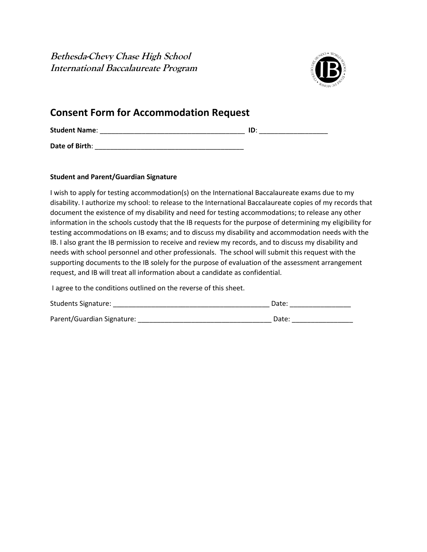**Bethesda-Chevy Chase High School International Baccalaureate Program**



## **Consent Form for Accommodation Request**

| <b>Student Name:</b> |  |
|----------------------|--|
|                      |  |

**Date of Birth**: \_\_\_\_\_\_\_\_\_\_\_\_\_\_\_\_\_\_\_\_\_\_\_\_\_\_\_\_\_\_\_\_\_\_\_\_\_\_\_

## **Student and Parent/Guardian Signature**

I wish to apply for testing accommodation(s) on the International Baccalaureate exams due to my disability. I authorize my school: to release to the International Baccalaureate copies of my records that document the existence of my disability and need for testing accommodations; to release any other information in the schools custody that the IB requests for the purpose of determining my eligibility for testing accommodations on IB exams; and to discuss my disability and accommodation needs with the IB. I also grant the IB permission to receive and review my records, and to discuss my disability and needs with school personnel and other professionals. The school will submit this request with the supporting documents to the IB solely for the purpose of evaluation of the assessment arrangement request, and IB will treat all information about a candidate as confidential.

I agree to the conditions outlined on the reverse of this sheet.

| <b>Students Signature:</b> | Date: |
|----------------------------|-------|
| Parent/Guardian Signature: | Date: |